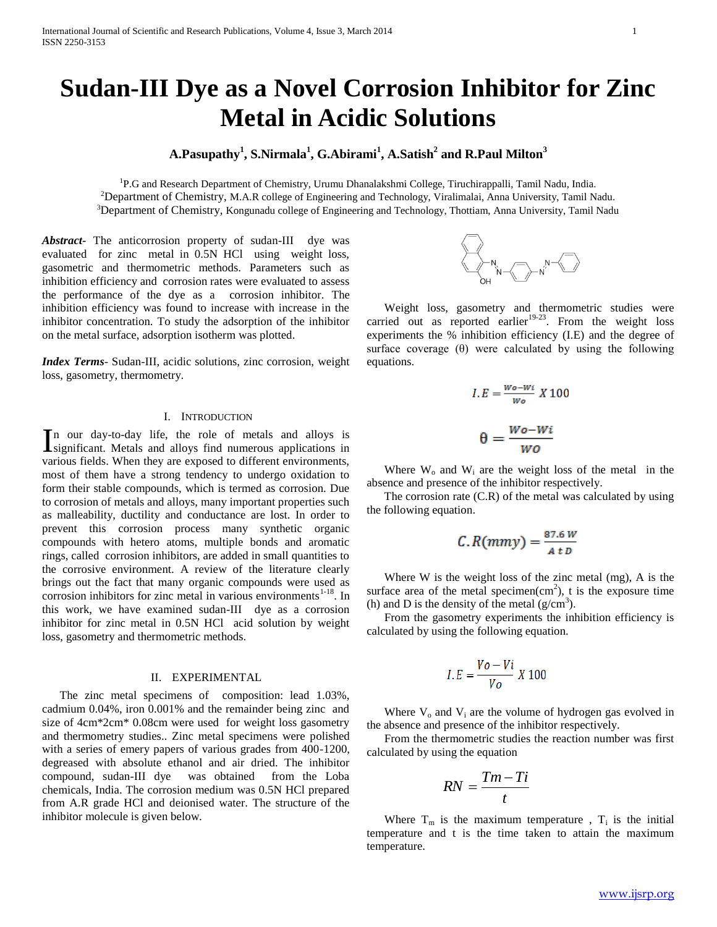# **Sudan-III Dye as a Novel Corrosion Inhibitor for Zinc Metal in Acidic Solutions**

## **A.Pasupathy<sup>1</sup> , S.Nirmala<sup>1</sup> , G.Abirami<sup>1</sup> , A.Satish<sup>2</sup> and R.Paul Milton<sup>3</sup>**

<sup>1</sup>P.G and Research Department of Chemistry, Urumu Dhanalakshmi College, Tiruchirappalli, Tamil Nadu, India. <sup>2</sup>Department of Chemistry, M.A.R college of Engineering and Technology, Viralimalai, Anna University, Tamil Nadu. <sup>3</sup>Department of Chemistry, Kongunadu college of Engineering and Technology, Thottiam, Anna University, Tamil Nadu

*Abstract***-** The anticorrosion property of sudan-III dye was evaluated for zinc metal in 0.5N HCl using weight loss, gasometric and thermometric methods. Parameters such as inhibition efficiency and corrosion rates were evaluated to assess the performance of the dye as a corrosion inhibitor. The inhibition efficiency was found to increase with increase in the inhibitor concentration. To study the adsorption of the inhibitor on the metal surface, adsorption isotherm was plotted.

*Index Terms*- Sudan-III, acidic solutions, zinc corrosion, weight loss, gasometry, thermometry.

## I. INTRODUCTION

n our day-to-day life, the role of metals and alloys is In our day-to-day life, the role of metals and alloys is significant. Metals and alloys find numerous applications in various fields. When they are exposed to different environments, most of them have a strong tendency to undergo oxidation to form their stable compounds, which is termed as corrosion. Due to corrosion of metals and alloys, many important properties such as malleability, ductility and conductance are lost. In order to prevent this corrosion process many synthetic organic compounds with hetero atoms, multiple bonds and aromatic rings, called corrosion inhibitors, are added in small quantities to the corrosive environment. A review of the literature clearly brings out the fact that many organic compounds were used as corrosion inhibitors for zinc metal in various environments $1-18$ . In this work, we have examined sudan-III dye as a corrosion inhibitor for zinc metal in 0.5N HCl acid solution by weight loss, gasometry and thermometric methods.

#### II. EXPERIMENTAL

The zinc metal specimens of composition: lead 1.03%, cadmium 0.04%, iron 0.001% and the remainder being zinc and size of 4cm\*2cm\* 0.08cm were used for weight loss gasometry and thermometry studies.. Zinc metal specimens were polished with a series of emery papers of various grades from 400-1200, degreased with absolute ethanol and air dried. The inhibitor compound, sudan-III dye was obtained from the Loba chemicals, India. The corrosion medium was 0.5N HCl prepared from A.R grade HCl and deionised water. The structure of the inhibitor molecule is given below.



Weight loss, gasometry and thermometric studies were weight loss,  $\frac{1}{2}$  and  $\frac{1}{2}$ . From the weight loss experiments the % inhibition efficiency (I.E) and the degree of surface coverage  $(\theta)$  were calculated by using the following equations.

$$
I.E = \frac{w_0 - w_i}{w_0} X 100
$$

$$
\theta = \frac{W_0 - W_i}{w_0}
$$

Where  $W_0$  and  $W_i$  are the weight loss of the metal in the absence and presence of the inhibitor respectively.

The corrosion rate  $(C.R)$  of the metal was calculated by using the following equation.

$$
C.R(mmy) = \frac{87.6 W}{4 t D}
$$

Where W is the weight loss of the zinc metal (mg), A is the surface area of the metal specimen $(cm<sup>2</sup>)$ , t is the exposure time (h) and D is the density of the metal  $(g/cm<sup>3</sup>)$ .

From the gasometry experiments the inhibition efficiency is calculated by using the following equation.

$$
I.E = \frac{V_o - Vi}{V_o} X 100
$$

Where  $V_0$  and  $V_i$  are the volume of hydrogen gas evolved in the absence and presence of the inhibitor respectively.

From the thermometric studies the reaction number was first calculated by using the equation

$$
RN = \frac{Tm - Ti}{t}
$$

Where  $T_m$  is the maximum temperature,  $T_i$  is the initial temperature and t is the time taken to attain the maximum temperature.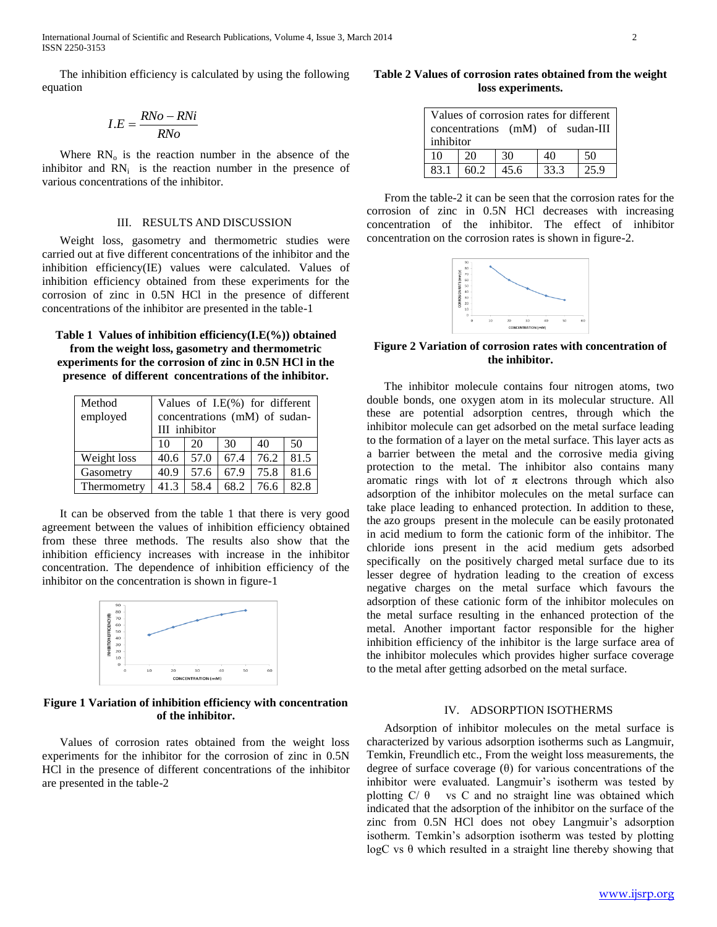International Journal of Scientific and Research Publications, Volume 4, Issue 3, March 2014 2 ISSN 2250-3153

The inhibition efficiency is calculated by using the following equation

$$
I.E = \frac{RNo - RNi}{RNo}
$$

Where  $RN_{o}$  is the reaction number in the absence of the inhibitor and  $RN<sub>i</sub>$  is the reaction number in the presence of various concentrations of the inhibitor.

#### III. RESULTS AND DISCUSSION

Weight loss, gasometry and thermometric studies were carried out at five different concentrations of the inhibitor and the inhibition efficiency(IE) values were calculated. Values of inhibition efficiency obtained from these experiments for the corrosion of zinc in 0.5N HCl in the presence of different concentrations of the inhibitor are presented in the table-1

## **Table 1 Values of inhibition efficiency(I.E(%)) obtained from the weight loss, gasometry and thermometric experiments for the corrosion of zinc in 0.5N HCl in the presence of different concentrations of the inhibitor.**

| Method      | Values of I.E(%) for different |      |      |      |      |  |  |
|-------------|--------------------------------|------|------|------|------|--|--|
| employed    | concentrations (mM) of sudan-  |      |      |      |      |  |  |
|             | III inhibitor                  |      |      |      |      |  |  |
|             | 10                             | 20   | 30   | 40   | 50   |  |  |
| Weight loss | 40.6                           | 57.0 | 67.4 | 76.2 | 81.5 |  |  |
| Gasometry   | 40.9                           | 57.6 | 67.9 | 75.8 | 81.6 |  |  |
| Thermometry | 41.3                           | 58.4 | 68.2 | 76.6 | 82.8 |  |  |

It can be observed from the table 1 that there is very good agreement between the values of inhibition efficiency obtained from these three methods. The results also show that the inhibition efficiency increases with increase in the inhibitor concentration. The dependence of inhibition efficiency of the inhibitor on the concentration is shown in figure-1



**Figure 1 Variation of inhibition efficiency with concentration of the inhibitor.**

Values of corrosion rates obtained from the weight loss experiments for the inhibitor for the corrosion of zinc in 0.5N HCl in the presence of different concentrations of the inhibitor are presented in the table-2

**Table 2 Values of corrosion rates obtained from the weight loss experiments.**

| Values of corrosion rates for different<br>concentrations (mM) of sudan-III<br>inhibitor |      |      |      |      |  |  |  |
|------------------------------------------------------------------------------------------|------|------|------|------|--|--|--|
| 10                                                                                       | 20   | 30   | 40   | -50  |  |  |  |
| 83.1                                                                                     | 60.2 | 45.6 | 33.3 | 25.9 |  |  |  |

From the table-2 it can be seen that the corrosion rates for the corrosion of zinc in 0.5N HCl decreases with increasing concentration of the inhibitor. The effect of inhibitor concentration on the corrosion rates is shown in figure-2.



## **Figure 2 Variation of corrosion rates with concentration of the inhibitor.**

The inhibitor molecule contains four nitrogen atoms, two double bonds, one oxygen atom in its molecular structure. All these are potential adsorption centres, through which the inhibitor molecule can get adsorbed on the metal surface leading to the formation of a layer on the metal surface. This layer acts as a barrier between the metal and the corrosive media giving protection to the metal. The inhibitor also contains many aromatic rings with lot of  $\pi$  electrons through which also adsorption of the inhibitor molecules on the metal surface can take place leading to enhanced protection. In addition to these, the azo groups present in the molecule can be easily protonated in acid medium to form the cationic form of the inhibitor. The chloride ions present in the acid medium gets adsorbed specifically on the positively charged metal surface due to its lesser degree of hydration leading to the creation of excess negative charges on the metal surface which favours the adsorption of these cationic form of the inhibitor molecules on the metal surface resulting in the enhanced protection of the metal. Another important factor responsible for the higher inhibition efficiency of the inhibitor is the large surface area of the inhibitor molecules which provides higher surface coverage to the metal after getting adsorbed on the metal surface.

## IV. ADSORPTION ISOTHERMS

Adsorption of inhibitor molecules on the metal surface is characterized by various adsorption isotherms such as Langmuir, Temkin, Freundlich etc., From the weight loss measurements, the degree of surface coverage  $(\theta)$  for various concentrations of the inhibitor were evaluated. Langmuir's isotherm was tested by plotting  $C/\theta$  vs C and no straight line was obtained which indicated that the adsorption of the inhibitor on the surface of the zinc from 0.5N HCl does not obey Langmuir's adsorption isotherm. Temkin's adsorption isotherm was tested by plotting logC vs θ which resulted in a straight line thereby showing that